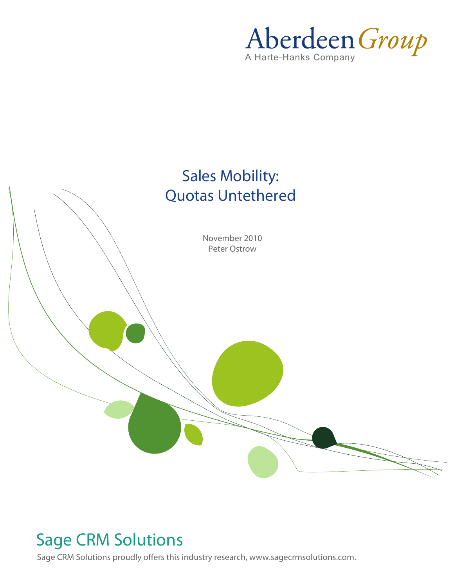Aberdeen Group



## Sage CRM Solutions

Sage CRM Solutions proudly offers this industry research, www.sagecrmsolutions.com.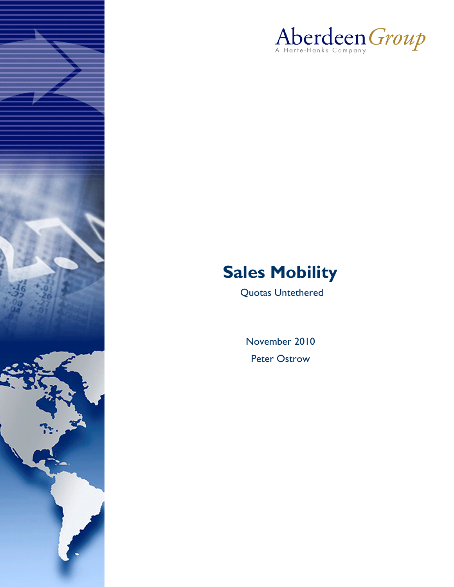



# **Sales Mobility**

Quotas Untethered

November 2010 Peter Ostrow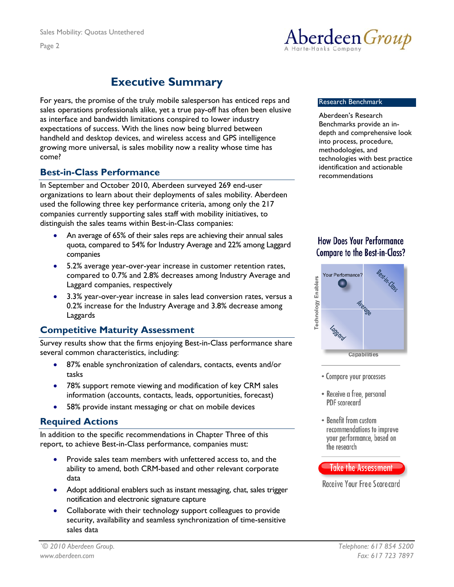

## **Executive Summary**

<span id="page-2-0"></span>For years, the promise of the truly mobile salesperson has enticed reps and sales operations professionals alike, yet a true pay-off has often been elusive as interface and bandwidth limitations conspired to lower industry expectations of success. With the lines now being blurred between handheld and desktop devices, and wireless access and GPS intelligence growing more universal, is sales mobility now a reality whose time has come?

In September and October 2010, Aberdeen surveyed 269 end-user organizations to learn about their deployments of sales mobility. Aberdeen used the following three key performance criteria, among only the 217 companies currently supporting sales staff with mobility initiatives, to distinguish the sales teams within Best-in-Class companies:

- An average of 65% of their sales reps are achieving their annual sales quota, compared to 54% for Industry Average and 22% among Laggard companies
- 5.2% average year-over-year increase in customer retention rates, compared to 0.7% and 2.8% decreases among Industry Average and Laggard companies, respectively
- 3.3% year-over-year increase in sales lead conversion rates, versus a 0.2% increase for the Industry Average and 3.8% decrease among Laggards

### **Competitive Maturity Assessment**

Survey results show that the firms enjoying Best-in-Class performance share several common characteristics, including:

- 87% enable synchronization of calendars, contacts, events and/or tasks
- 78% support remote viewing and modification of key CRM sales information (accounts, contacts, leads, opportunities, forecast)
- 58% provide instant messaging or chat on mobile devices

### **Required Actions**

In addition to the specific recommendations in Chapter Three of this report, to achieve Best-in-Class performance, companies must:

- Provide sales team members with unfettered access to, and the ability to amend, both CRM-based and other relevant corporate data
- Adopt additional enablers such as instant messaging, chat, sales trigger notification and electronic signature capture
- Collaborate with their technology support colleagues to provide security, availability and seamless synchronization of time-sensitive sales data

#### Research Benchmark

Aberdeen's Research Benchmarks provide an indepth and comprehensive look into process, procedure, methodologies, and technologies with best practice identification and actionable **Best-in-Class Performance** recommendations

### **How Does Your Performance Compare to the Best-in-Class?**



- Compare your processes
- Receive a free, personal PDF scorecard
- Benefit from custom recommendations to improve your performance, based on the research

#### **Take the Assessment**

Receive Your Free Scorecard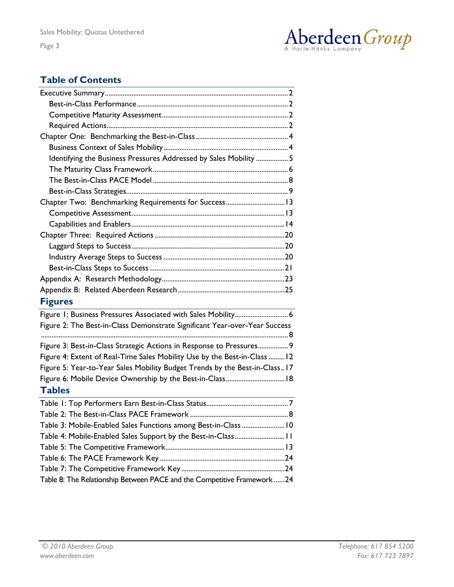

### **Table of Contents**

| Identifying the Business Pressures Addressed by Sales Mobility  5          |
|----------------------------------------------------------------------------|
|                                                                            |
|                                                                            |
|                                                                            |
| Chapter Two: Benchmarking Requirements for Success 13                      |
|                                                                            |
|                                                                            |
|                                                                            |
|                                                                            |
|                                                                            |
|                                                                            |
|                                                                            |
|                                                                            |
| <b>Figures</b>                                                             |
| Figure 1: Business Pressures Associated with Sales Mobility 6              |
| Figure 2: The Best-in-Class Demonstrate Significant Year-over-Year Success |
| Figure 3: Best-in-Class Strategic Actions in Response to Pressures 9       |
| Figure 4: Extent of Real-Time Sales Mobility Use by the Best-in-Class  12  |
| Figure 5: Year-to-Year Sales Mobility Budget Trends by the Best-in-Class17 |
| Figure 6: Mobile Device Ownership by the Best-in-Class 18                  |
| <b>Tables</b>                                                              |
|                                                                            |
|                                                                            |
|                                                                            |
|                                                                            |
| Table 3: Mobile-Enabled Sales Functions among Best-in-Class  10            |
| Table 4: Mobile-Enabled Sales Support by the Best-in-Class 11              |
|                                                                            |
|                                                                            |
| Table 8: The Relationship Between PACE and the Competitive Framework24     |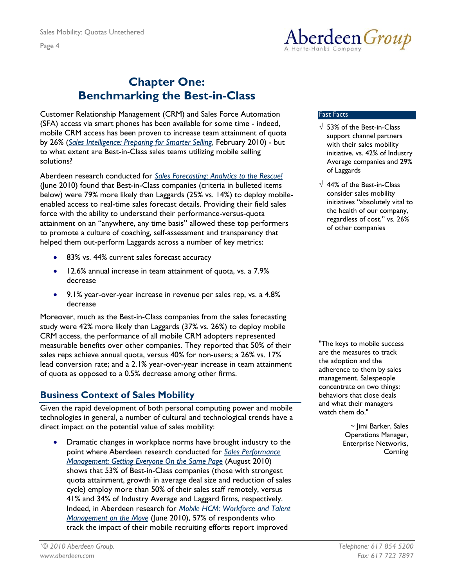<span id="page-4-0"></span>Page 4



### **Chapter One: Benchmarking the Best-in-Class**

Customer Relationship Management (CRM) and Sales Force Automation (SFA) access via smart phones has been available for some time - indeed, mobile CRM access has been proven to increase team attainment of quota by 26% (*[Sales Intelligence: Preparing for Smarter Selling](http://www.aberdeen.com/summary/report/benchmark/6332-RA-sales-force-intelligence-automation.asp)*, February 2010) - but to what extent are Best-in-Class sales teams utilizing mobile selling solutions?

Aberdeen research conducted for *[Sales Forecasting: Analytics to the Rescue!](http://www.aberdeen.com/Aberdeen-Library/6362/RA-sales-forecast-pipeline.aspx)* (June 2010) found that Best-in-Class companies (criteria in bulleted items below) were 79% more likely than Laggards (25% vs. 14%) to deploy mobileenabled access to real-time sales forecast details. Providing their field sales force with the ability to understand their performance-versus-quota attainment on an "anywhere, any time basis" allowed these top performers to promote a culture of coaching, self-assessment and transparency that helped them out-perform Laggards across a number of key metrics:

- 83% vs. 44% current sales forecast accuracy
- 12.6% annual increase in team attainment of quota, vs. a 7.9% decrease
- 9.1% year-over-year increase in revenue per sales rep, vs. a 4.8% decrease

Moreover, much as the Best-in-Class companies from the sales forecasting study were 42% more likely than Laggards (37% vs. 26%) to deploy mobile CRM access, the performance of all mobile CRM adopters represented measurable benefits over other companies. They reported that 50% of their sales reps achieve annual quota, versus 40% for non-users; a 26% vs. 17% lead conversion rate; and a 2.1% year-over-year increase in team attainment of quota as opposed to a 0.5% decrease among other firms.

### **Business Context of Sales Mobility**

Given the rapid development of both personal computing power and mobile technologies in general, a number of cultural and technological trends have a direct impact on the potential value of sales mobility:

• Dramatic changes in workplace norms have brought industry to the point where Aberdeen research conducted for *[Sales Performance](http://www.aberdeen.com/aberdeen-library/6377/RA-sales-performance-management.aspx)  [Management: Getting Everyone On the Same Page](http://www.aberdeen.com/aberdeen-library/6377/RA-sales-performance-management.aspx)* (August 2010) shows that 53% of Best-in-Class companies (those with strongest quota attainment, growth in average deal size and reduction of sales cycle) employ more than 50% of their sales staff remotely, versus 41% and 34% of Industry Average and Laggard firms, respectively. Indeed, in Aberdeen research for *[Mobile HCM: Workforce and Talent](http://www.aberdeen.com/Aberdeen-Library/6369/RA-mobile-workforce-management.aspx)  [Management on the Move](http://www.aberdeen.com/Aberdeen-Library/6369/RA-mobile-workforce-management.aspx)* (June 2010), 57% of respondents who track the impact of their mobile recruiting efforts report improved

#### Fast Facts

- $\sqrt{53\%}$  of the Best-in-Class support channel partners with their sales mobility initiative, vs. 42% of Industry Average companies and 29% of Laggards
- $\sqrt{44\%}$  of the Best-in-Class consider sales mobility initiatives "absolutely vital to the health of our company, regardless of cost," vs. 26% of other companies

"The keys to mobile success are the measures to track the adoption and the adherence to them by sales management. Salespeople concentrate on two things: behaviors that close deals and what their managers watch them do."

> ~ Jimi Barker, Sales Operations Manager, Enterprise Networks, **Corning**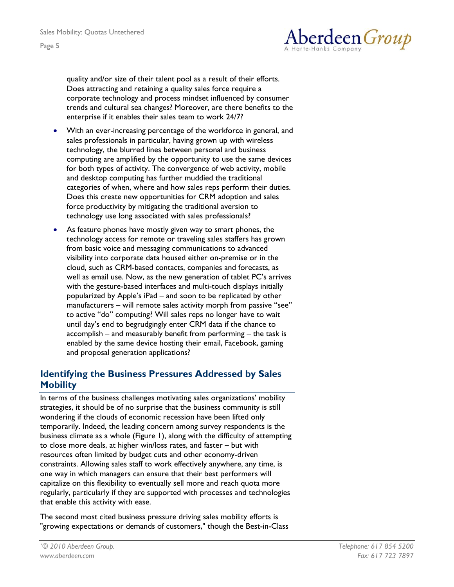

<span id="page-5-0"></span>quality and/or size of their talent pool as a result of their efforts. Does attracting and retaining a quality sales force require a corporate technology and process mindset influenced by consumer trends and cultural sea changes? Moreover, are there benefits to the enterprise if it enables their sales team to work 24/7?

- With an ever-increasing percentage of the workforce in general, and sales professionals in particular, having grown up with wireless technology, the blurred lines between personal and business computing are amplified by the opportunity to use the same devices for both types of activity. The convergence of web activity, mobile and desktop computing has further muddied the traditional categories of when, where and how sales reps perform their duties. Does this create new opportunities for CRM adoption and sales force productivity by mitigating the traditional aversion to technology use long associated with sales professionals?
- As feature phones have mostly given way to smart phones, the technology access for remote or traveling sales staffers has grown from basic voice and messaging communications to advanced visibility into corporate data housed either on-premise or in the cloud, such as CRM-based contacts, companies and forecasts, as well as email use. Now, as the new generation of tablet PC's arrives with the gesture-based interfaces and multi-touch displays initially popularized by Apple's iPad – and soon to be replicated by other manufacturers – will remote sales activity morph from passive "see" to active "do" computing? Will sales reps no longer have to wait until day's end to begrudgingly enter CRM data if the chance to accomplish – and measurably benefit from performing – the task is enabled by the same device hosting their email, Facebook, gaming and proposal generation applications?

### **Identifying the Business Pressures Addressed by Sales Mobility**

In terms of the business challenges motivating sales organizations' mobility strategies, it should be of no surprise that the business community is still wondering if the clouds of economic recession have been lifted only temporarily. Indeed, the leading concern among survey respondents is the business climate as a whole (Figure 1), along with the difficulty of attempting to close more deals, at higher win/loss rates, and faster – but with resources often limited by budget cuts and other economy-driven constraints. Allowing sales staff to work effectively anywhere, any time, is one way in which managers can ensure that their best performers will capitalize on this flexibility to eventually sell more and reach quota more regularly, particularly if they are supported with processes and technologies that enable this activity with ease.

The second most cited business pressure driving sales mobility efforts is "growing expectations or demands of customers," though the Best-in-Class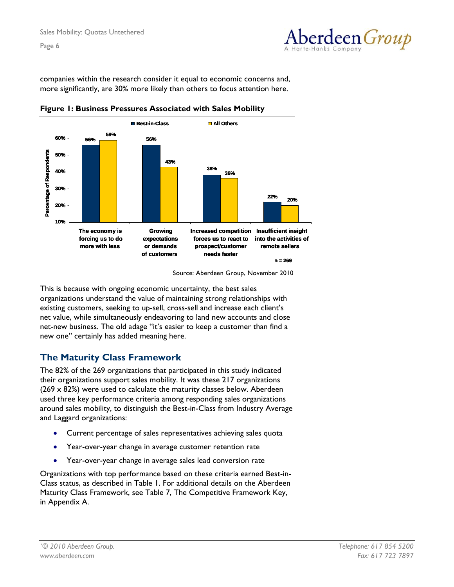

<span id="page-6-0"></span>companies within the research consider it equal to economic concerns and, more significantly, are 30% more likely than others to focus attention here.





This is because with ongoing economic uncertainty, the best sales organizations understand the value of maintaining strong relationships with existing customers, seeking to up-sell, cross-sell and increase each client's net value, while simultaneously endeavoring to land new accounts and close net-new business. The old adage "it's easier to keep a customer than find a new one" certainly has added meaning here.

### **The Maturity Class Framework**

The 82% of the 269 organizations that participated in this study indicated their organizations support sales mobility. It was these 217 organizations  $(269 \times 82%)$  were used to calculate the maturity classes below. Aberdeen used three key performance criteria among responding sales organizations around sales mobility, to distinguish the Best-in-Class from Industry Average and Laggard organizations:

- Current percentage of sales representatives achieving sales quota
- Year-over-year change in average customer retention rate
- Year-over-year change in average sales lead conversion rate

Organizations with top performance based on these criteria earned Best-in-Class status, as described in Table 1. For additional details on the Aberdeen Maturity Class Framework, see Table 7, The Competitive Framework Key, in Appendix A.

Source: Aberdeen Group, November 2010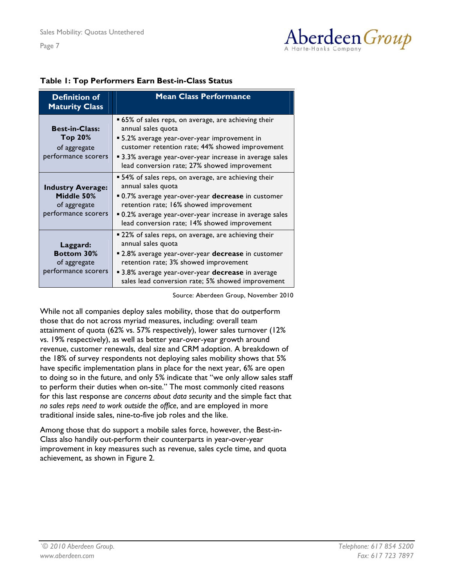

#### <span id="page-7-0"></span>**Table 1: Top Performers Earn Best-in-Class Status**

| <b>Definition of</b><br><b>Maturity Class</b>                                 | <b>Mean Class Performance</b>                                                                                                                                                                                                                                                            |
|-------------------------------------------------------------------------------|------------------------------------------------------------------------------------------------------------------------------------------------------------------------------------------------------------------------------------------------------------------------------------------|
| <b>Best-in-Class:</b><br>Top 20%<br>of aggregate<br>performance scorers       | ■ 65% of sales reps, on average, are achieving their<br>annual sales quota<br>• 5.2% average year-over-year improvement in<br>customer retention rate; 44% showed improvement<br>■ 3.3% average year-over-year increase in average sales<br>lead conversion rate; 27% showed improvement |
| <b>Industry Average:</b><br>Middle 50%<br>of aggregate<br>performance scorers | • 54% of sales reps, on average, are achieving their<br>annual sales quota<br>■ 0.7% average year-over-year decrease in customer<br>retention rate; 16% showed improvement<br>.0.2% average year-over-year increase in average sales<br>lead conversion rate; 14% showed improvement     |
| Laggard:<br><b>Bottom 30%</b><br>of aggregate<br>performance scorers          | ■ 22% of sales reps, on average, are achieving their<br>annual sales quota<br>■ 2.8% average year-over-year decrease in customer<br>retention rate; 3% showed improvement<br>3.8% average year-over-year decrease in average<br>sales lead conversion rate; 5% showed improvement        |

Source: Aberdeen Group, November 2010

While not all companies deploy sales mobility, those that do outperform those that do not across myriad measures, including: overall team attainment of quota (62% vs. 57% respectively), lower sales turnover (12% vs. 19% respectively), as well as better year-over-year growth around revenue, customer renewals, deal size and CRM adoption. A breakdown of the 18% of survey respondents not deploying sales mobility shows that 5% have specific implementation plans in place for the next year, 6% are open to doing so in the future, and only 5% indicate that "we only allow sales staff to perform their duties when on-site." The most commonly cited reasons for this last response are *concerns about data security* and the simple fact that *no sales reps need to work outside the office*, and are employed in more traditional inside sales, nine-to-five job roles and the like.

Among those that do support a mobile sales force, however, the Best-in-Class also handily out-perform their counterparts in year-over-year improvement in key measures such as revenue, sales cycle time, and quota achievement, as shown in Figure 2.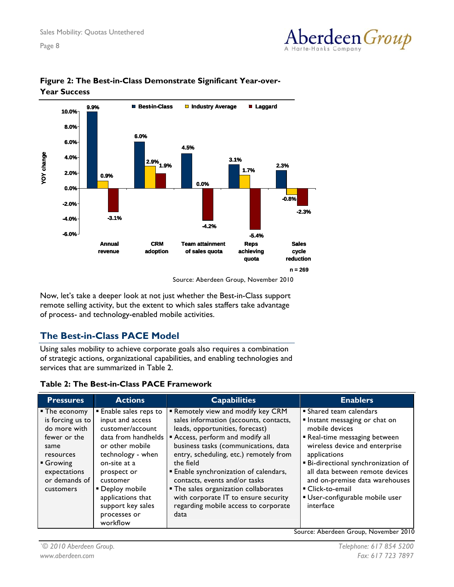



#### <span id="page-8-0"></span>**Figure 2: The Best-in-Class Demonstrate Significant Year-over-Year Success**

Source: Aberdeen Group, November 2010

Now, let's take a deeper look at not just whether the Best-in-Class support remote selling activity, but the extent to which sales staffers take advantage of process- and technology-enabled mobile activities.

### **The Best-in-Class PACE Model**

Using sales mobility to achieve corporate goals also requires a combination of strategic actions, organizational capabilities, and enabling technologies and services that are summarized in Table 2.

#### **Table 2: The Best-in-Class PACE Framework**

| <b>Pressures</b>                                                                                                                                | <b>Actions</b>                                                                                                                                                                                                                                                  | <b>Capabilities</b>                                                                                                                                                                                                                                                                                                                                                                                                                                             | <b>Enablers</b>                                                                                                                                                                                                                                                                                                                               |
|-------------------------------------------------------------------------------------------------------------------------------------------------|-----------------------------------------------------------------------------------------------------------------------------------------------------------------------------------------------------------------------------------------------------------------|-----------------------------------------------------------------------------------------------------------------------------------------------------------------------------------------------------------------------------------------------------------------------------------------------------------------------------------------------------------------------------------------------------------------------------------------------------------------|-----------------------------------------------------------------------------------------------------------------------------------------------------------------------------------------------------------------------------------------------------------------------------------------------------------------------------------------------|
| ■ The economy<br>is forcing us to<br>do more with<br>fewer or the<br>same<br>resources<br>Growing<br>expectations<br>or demands of<br>customers | Enable sales reps to<br>input and access<br>customer/account<br>data from handhelds<br>or other mobile<br>technology - when<br>on-site at a<br>prospect or<br>customer<br>• Deploy mobile<br>applications that<br>support key sales<br>processes or<br>workflow | Remotely view and modify key CRM<br>sales information (accounts, contacts,<br>leads, opportunities, forecast)<br>Access, perform and modify all<br>business tasks (communications, data<br>entry, scheduling, etc.) remotely from<br>the field<br><b>Enable synchronization of calendars,</b><br>contacts, events and/or tasks<br>• The sales organization collaborates<br>with corporate IT to ensure security<br>regarding mobile access to corporate<br>data | • Shared team calendars<br>Instant messaging or chat on<br>mobile devices<br>Real-time messaging between<br>wireless device and enterprise<br>applications<br><b>Bi-directional synchronization of</b><br>all data between remote devices<br>and on-premise data warehouses<br>■ Click-to-email<br>User-configurable mobile user<br>interface |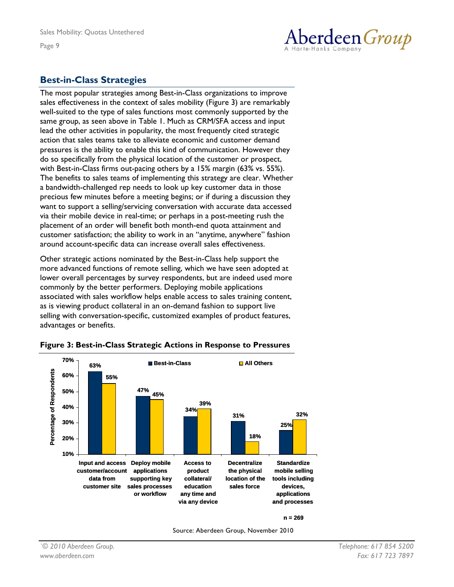

### <span id="page-9-0"></span>**Best-in-Class Strategies**

The most popular strategies among Best-in-Class organizations to improve sales effectiveness in the context of sales mobility (Figure 3) are remarkably well-suited to the type of sales functions most commonly supported by the same group, as seen above in Table 1. Much as CRM/SFA access and input lead the other activities in popularity, the most frequently cited strategic action that sales teams take to alleviate economic and customer demand pressures is the ability to enable this kind of communication. However they do so specifically from the physical location of the customer or prospect, with Best-in-Class firms out-pacing others by a 15% margin (63% vs. 55%). The benefits to sales teams of implementing this strategy are clear. Whether a bandwidth-challenged rep needs to look up key customer data in those precious few minutes before a meeting begins; or if during a discussion they want to support a selling/servicing conversation with accurate data accessed via their mobile device in real-time; or perhaps in a post-meeting rush the placement of an order will benefit both month-end quota attainment and customer satisfaction; the ability to work in an "anytime, anywhere" fashion around account-specific data can increase overall sales effectiveness.

Other strategic actions nominated by the Best-in-Class help support the more advanced functions of remote selling, which we have seen adopted at lower overall percentages by survey respondents, but are indeed used more commonly by the better performers. Deploying mobile applications associated with sales workflow helps enable access to sales training content, as is viewing product collateral in an on-demand fashion to support live selling with conversation-specific, customized examples of product features, advantages or benefits.



#### **Figure 3: Best-in-Class Strategic Actions in Response to Pressures**

Source: Aberdeen Group, November 2010

**n = 269**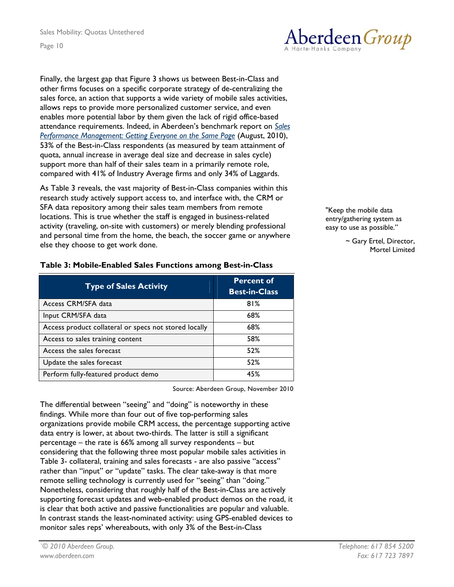<span id="page-10-0"></span>Finally, the largest gap that Figure 3 shows us between Best-in-Class and other firms focuses on a specific corporate strategy of de-centralizing the sales force, an action that supports a wide variety of mobile sales activities, allows reps to provide more personalized customer service, and even enables more potential labor by them given the lack of rigid office-based attendance requirements. Indeed, in Aberdeen's benchmark report on *[Sales](http://www.aberdeen.com/aberdeen-library/6377/RA-sales-performance-management.aspx)  [Performance Management: Getting Everyone on the Same Page](http://www.aberdeen.com/aberdeen-library/6377/RA-sales-performance-management.aspx)* (August, 2010), 53% of the Best-in-Class respondents (as measured by team attainment of quota, annual increase in average deal size and decrease in sales cycle) support more than half of their sales team in a primarily remote role, compared with 41% of Industry Average firms and only 34% of Laggards.

As Table 3 reveals, the vast majority of Best-in-Class companies within this research study actively support access to, and interface with, the CRM or SFA data repository among their sales team members from remote locations. This is true whether the staff is engaged in business-related activity (traveling, on-site with customers) or merely blending professional and personal time from the home, the beach, the soccer game or anywhere else they choose to get work done.

| <b>Type of Sales Activity</b>                         | <b>Percent of</b><br><b>Best-in-Class</b> |
|-------------------------------------------------------|-------------------------------------------|
| Access CRM/SFA data                                   | 81%                                       |
| Input CRM/SFA data                                    | 68%                                       |
| Access product collateral or specs not stored locally | 68%                                       |
| Access to sales training content                      | 58%                                       |
| Access the sales forecast                             | 52%                                       |
| Update the sales forecast                             | 52%                                       |
| Perform fully-featured product demo                   | 45%                                       |

#### **Table 3: Mobile-Enabled Sales Functions among Best-in-Class**

Source: Aberdeen Group, November 2010

The differential between "seeing" and "doing" is noteworthy in these findings. While more than four out of five top-performing sales organizations provide mobile CRM access, the percentage supporting active data entry is lower, at about two-thirds. The latter is still a significant percentage – the rate is 66% among all survey respondents – but considering that the following three most popular mobile sales activities in Table 3- collateral, training and sales forecasts - are also passive "access" rather than "input" or "update" tasks. The clear take-away is that more remote selling technology is currently used for "seeing" than "doing." Nonetheless, considering that roughly half of the Best-in-Class are actively supporting forecast updates and web-enabled product demos on the road, it is clear that both active and passive functionalities are popular and valuable. In contrast stands the least-nominated activity: using GPS-enabled devices to monitor sales reps' whereabouts, with only 3% of the Best-in-Class



"Keep the mobile data entry/gathering system as easy to use as possible."

> ~ Gary Ertel, Director, Mortel Limited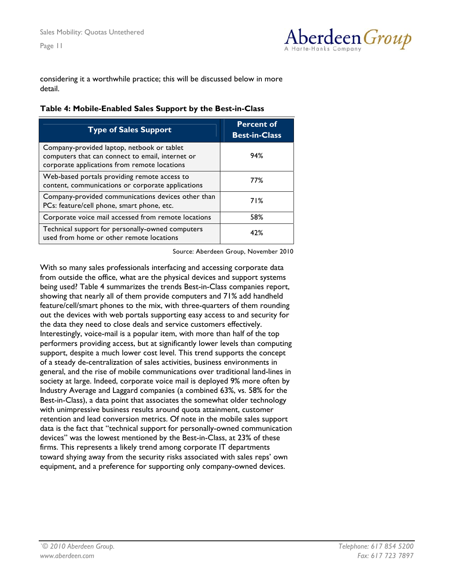

<span id="page-11-0"></span>considering it a worthwhile practice; this will be discussed below in more detail.

|  |  |  | Table 4: Mobile-Enabled Sales Support by the Best-in-Class |
|--|--|--|------------------------------------------------------------|
|  |  |  |                                                            |

| <b>Type of Sales Support</b>                                                                                                                   | <b>Percent of</b><br><b>Best-in-Class</b> |
|------------------------------------------------------------------------------------------------------------------------------------------------|-------------------------------------------|
| Company-provided laptop, netbook or tablet<br>computers that can connect to email, internet or<br>corporate applications from remote locations | 94%                                       |
| Web-based portals providing remote access to<br>content, communications or corporate applications                                              | 77%                                       |
| Company-provided communications devices other than<br>PCs: feature/cell phone, smart phone, etc.                                               | 71%                                       |
| Corporate voice mail accessed from remote locations                                                                                            | 58%                                       |
| Technical support for personally-owned computers<br>used from home or other remote locations                                                   | 42%                                       |

Source: Aberdeen Group, November 2010

With so many sales professionals interfacing and accessing corporate data from outside the office, what are the physical devices and support systems being used? Table 4 summarizes the trends Best-in-Class companies report, showing that nearly all of them provide computers and 71% add handheld feature/cell/smart phones to the mix, with three-quarters of them rounding out the devices with web portals supporting easy access to and security for the data they need to close deals and service customers effectively. Interestingly, voice-mail is a popular item, with more than half of the top performers providing access, but at significantly lower levels than computing support, despite a much lower cost level. This trend supports the concept of a steady de-centralization of sales activities, business environments in general, and the rise of mobile communications over traditional land-lines in society at large. Indeed, corporate voice mail is deployed 9% more often by Industry Average and Laggard companies (a combined 63%, vs. 58% for the Best-in-Class), a data point that associates the somewhat older technology with unimpressive business results around quota attainment, customer retention and lead conversion metrics. Of note in the mobile sales support data is the fact that "technical support for personally-owned communication devices" was the lowest mentioned by the Best-in-Class, at 23% of these firms. This represents a likely trend among corporate IT departments toward shying away from the security risks associated with sales reps' own equipment, and a preference for supporting only company-owned devices.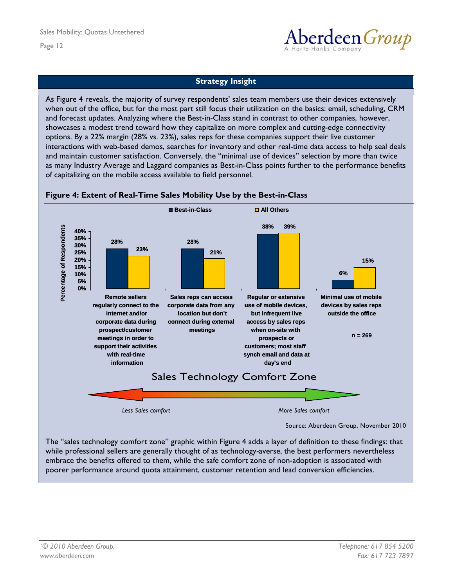

#### **Strategy Insight**

<span id="page-12-0"></span>As Figure 4 reveals, the majority of survey respondents' sales team members use their devices extensively when out of the office, but for the most part still focus their utilization on the basics: email, scheduling, CRM and forecast updates. Analyzing where the Best-in-Class stand in contrast to other companies, however, showcases a modest trend toward how they capitalize on more complex and cutting-edge connectivity options. By a 22% margin (28% vs. 23%), sales reps for these companies support their live customer interactions with web-based demos, searches for inventory and other real-time data access to help seal deals and maintain customer satisfaction. Conversely, the "minimal use of devices" selection by more than twice as many Industry Average and Laggard companies as Best-in-Class points further to the performance benefits of capitalizing on the mobile access available to field personnel.



#### **Figure 4: Extent of Real-Time Sales Mobility Use by the Best-in-Class**

embrace the benefits offered to them, while the safe comfort zone of non-adoption is associated with poorer performance around quota attainment, customer retention and lead conversion efficiencies.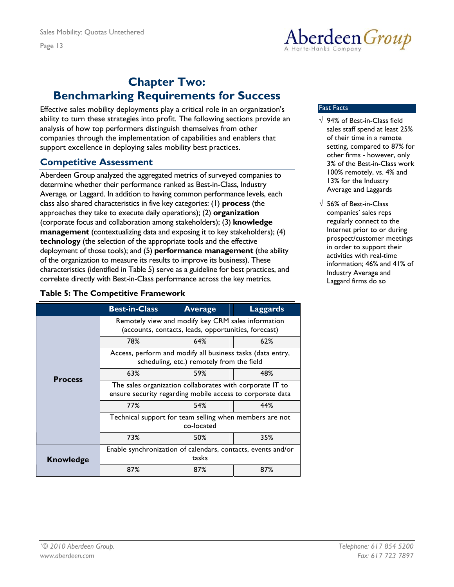

### <span id="page-13-0"></span>**Chapter Two: Benchmarking Requirements for Success**

Effective sales mobility deployments play a critical role in an organization's ability to turn these strategies into profit. The following sections provide an analysis of how top performers distinguish themselves from other companies through the implementation of capabilities and enablers that support excellence in deploying sales mobility best practices.

### **Competitive Assessment**

Aberdeen Group analyzed the aggregated metrics of surveyed companies to determine whether their performance ranked as Best-in-Class, Industry Average, or Laggard. In addition to having common performance levels, each class also shared characteristics in five key categories: (1) **process** (the approaches they take to execute daily operations); (2) **organization** (corporate focus and collaboration among stakeholders); (3) **knowledge management** (contextualizing data and exposing it to key stakeholders); (4) **technology** (the selection of the appropriate tools and the effective deployment of those tools); and (5) **performance management** (the ability of the organization to measure its results to improve its business). These characteristics (identified in Table 5) serve as a guideline for best practices, and correlate directly with Best-in-Class performance across the key metrics.

#### **Table 5: The Competitive Framework**

|                  | <b>Best-in-Class</b>                                                                                       | <b>Average</b>                                                                                                        | <b>Laggards</b> |  |
|------------------|------------------------------------------------------------------------------------------------------------|-----------------------------------------------------------------------------------------------------------------------|-----------------|--|
|                  | Remotely view and modify key CRM sales information<br>(accounts, contacts, leads, opportunities, forecast) |                                                                                                                       |                 |  |
|                  | 78%                                                                                                        | 64%                                                                                                                   | 62%             |  |
|                  |                                                                                                            | Access, perform and modify all business tasks (data entry,<br>scheduling, etc.) remotely from the field               |                 |  |
| <b>Process</b>   | 63%                                                                                                        | 59%                                                                                                                   | 48%             |  |
|                  |                                                                                                            | The sales organization collaborates with corporate IT to<br>ensure security regarding mobile access to corporate data |                 |  |
|                  | 77%                                                                                                        | 54%                                                                                                                   | 44%             |  |
|                  | Technical support for team selling when members are not<br>co-located                                      |                                                                                                                       |                 |  |
|                  | 73%                                                                                                        | 50%                                                                                                                   | 35%             |  |
| <b>Knowledge</b> | Enable synchronization of calendars, contacts, events and/or<br>tasks                                      |                                                                                                                       |                 |  |
|                  | 87%                                                                                                        | 87%                                                                                                                   | 87%             |  |

#### Fast Facts

- √ 94% of Best-in-Class field sales staff spend at least 25% of their time in a remote setting, compared to 87% for other firms - however, only 3% of the Best-in-Class work 100% remotely, vs. 4% and 13% for the Industry Average and Laggards
- √ 56% of Best-in-Class companies' sales reps regularly connect to the Internet prior to or during prospect/customer meetings in order to support their activities with real-time information; 46% and 41% of Industry Average and Laggard firms do so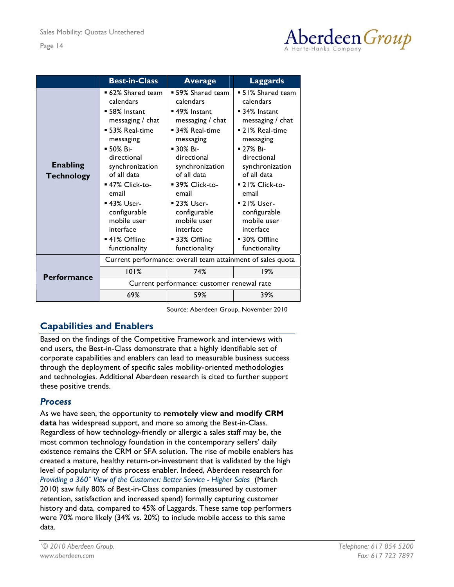

<span id="page-14-0"></span>

|                                      | <b>Best-in-Class</b>                                                                                                                                                                                                                                                                         | <b>Average</b>                                                                                                                                                                                                                                                                                            | <b>Laggards</b>                                                                                                                                                                                                                                                                                           |  |  |
|--------------------------------------|----------------------------------------------------------------------------------------------------------------------------------------------------------------------------------------------------------------------------------------------------------------------------------------------|-----------------------------------------------------------------------------------------------------------------------------------------------------------------------------------------------------------------------------------------------------------------------------------------------------------|-----------------------------------------------------------------------------------------------------------------------------------------------------------------------------------------------------------------------------------------------------------------------------------------------------------|--|--|
| <b>Enabling</b><br><b>Technology</b> | ■ 62% Shared team<br>calendars<br>■ 58% Instant<br>messaging $/$ chat<br>■ 53% Real-time<br>messaging<br>■ 50% Bi-<br>directional<br>synchronization<br>of all data<br>■ 47% Click-to-<br>email<br>■ 43% User-<br>configurable<br>mobile user<br>interface<br>■ 41% Offline<br>functionality | ■ 59% Shared team<br>calendars<br>■ 49% Instant<br>messaging $/$ chat<br>■ 34% Real-time<br>messaging<br>$\blacksquare$ 30% Bi-<br>directional<br>synchronization<br>of all data<br>■ 39% Click-to-<br>email<br>■ 23% User-<br>configurable<br>mobile user<br>interface<br>■ 33% Offline<br>functionality | ■ 51% Shared team<br>calendars<br>■ 34% Instant<br>messaging $/$ chat<br>■ 21% Real-time<br>messaging<br>$\blacksquare$ 27% Bi-<br>directional<br>synchronization<br>of all data<br>■ 21% Click-to-<br>email<br>■ 21% User-<br>configurable<br>mobile user<br>interface<br>■ 30% Offline<br>functionality |  |  |
|                                      | Current performance: overall team attainment of sales quota                                                                                                                                                                                                                                  |                                                                                                                                                                                                                                                                                                           |                                                                                                                                                                                                                                                                                                           |  |  |
| <b>Performance</b>                   | 101%                                                                                                                                                                                                                                                                                         | 74%                                                                                                                                                                                                                                                                                                       | 19%                                                                                                                                                                                                                                                                                                       |  |  |
|                                      |                                                                                                                                                                                                                                                                                              | Current performance: customer renewal rate                                                                                                                                                                                                                                                                |                                                                                                                                                                                                                                                                                                           |  |  |
|                                      | 69%                                                                                                                                                                                                                                                                                          | 59%                                                                                                                                                                                                                                                                                                       | 39%                                                                                                                                                                                                                                                                                                       |  |  |

Source: Aberdeen Group, November 2010

### **Capabilities and Enablers**

Based on the findings of the Competitive Framework and interviews with end users, the Best-in-Class demonstrate that a highly identifiable set of corporate capabilities and enablers can lead to measurable business success through the deployment of specific sales mobility-oriented methodologies and technologies. Additional Aberdeen research is cited to further support these positive trends.

### *Process*

As we have seen, the opportunity to **remotely view and modify CRM data** has widespread support, and more so among the Best-in-Class. Regardless of how technology-friendly or allergic a sales staff may be, the most common technology foundation in the contemporary sellers' daily existence remains the CRM or SFA solution. The rise of mobile enablers has created a mature, healthy return-on-investment that is validated by the high level of popularity of this process enabler. Indeed, Aberdeen research for *[Providing a 360˚ View of the Customer: Better Service - Higher Sales](http://www.aberdeen.com/Aberdeen-Library/6284/RA-customer-experience-retention.aspx)* (March 2010) saw fully 80% of Best-in-Class companies (measured by customer retention, satisfaction and increased spend) formally capturing customer history and data, compared to 45% of Laggards. These same top performers were 70% more likely (34% vs. 20%) to include mobile access to this same data.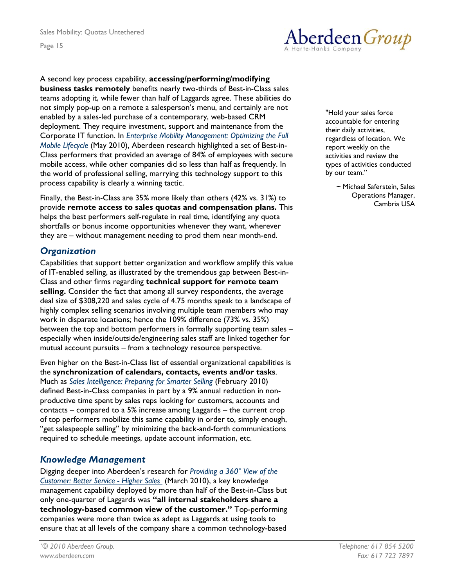

#### A second key process capability, **accessing/performing/modifying**

**business tasks remotely** benefits nearly two-thirds of Best-in-Class sales teams adopting it, while fewer than half of Laggards agree. These abilities do not simply pop-up on a remote a salesperson's menu, and certainly are not enabled by a sales-led purchase of a contemporary, web-based CRM deployment. They require investment, support and maintenance from the Corporate IT function. In *[Enterprise Mobility Management: Optimizing the Full](http://v1.aberdeen.com/launch/report/benchmark/6574-RA-enterprise-mobility-management.asp?lan=US)  [Mobile Lifecycle](http://v1.aberdeen.com/launch/report/benchmark/6574-RA-enterprise-mobility-management.asp?lan=US)* (May 2010), Aberdeen research highlighted a set of Best-in-Class performers that provided an average of 84% of employees with secure mobile access, while other companies did so less than half as frequently. In the world of professional selling, marrying this technology support to this process capability is clearly a winning tactic.

Finally, the Best-in-Class are 35% more likely than others (42% vs. 31%) to Finally, the Best-in-Class are 35% more likely than others (42% vs. 31%) to Finally, the Best-in-Class are 35% more likely than others (42% vs. 31 provide **remote access to sales quotas and compensation plans.** This helps the best performers self-regulate in real time, identifying any quota shortfalls or bonus income opportunities whenever they want, wherever they are – without management needing to prod them near month-end.

#### *Organization*

Capabilities that support better organization and workflow amplify this value of IT-enabled selling, as illustrated by the tremendous gap between Best-in-Class and other firms regarding **technical support for remote team selling.** Consider the fact that among all survey respondents, the average deal size of \$308,220 and sales cycle of 4.75 months speak to a landscape of highly complex selling scenarios involving multiple team members who may work in disparate locations; hence the 109% difference (73% vs. 35%) between the top and bottom performers in formally supporting team sales – especially when inside/outside/engineering sales staff are linked together for mutual account pursuits – from a technology resource perspective.

Even higher on the Best-in-Class list of essential organizational capabilities is the **synchronization of calendars, contacts, events and/or tasks**. Much as *[Sales Intelligence: Preparing for Smarter Selling](http://www.aberdeen.com/Aberdeen-Library/6332/RA-sales-force-intelligence-automation.aspx)* (February 2010) defined Best-in-Class companies in part by a 9% annual reduction in nonproductive time spent by sales reps looking for customers, accounts and contacts – compared to a 5% increase among Laggards – the current crop of top performers mobilize this same capability in order to, simply enough, "get salespeople selling" by minimizing the back-and-forth communications required to schedule meetings, update account information, etc.

#### *Knowledge Management*

Digging deeper into Aberdeen's research for *[Providing a 360˚ View of the](http://www.aberdeen.com/Aberdeen-Library/6284/RA-customer-experience-retention.aspx)  [Customer: Better Service - Higher Sales](http://www.aberdeen.com/Aberdeen-Library/6284/RA-customer-experience-retention.aspx)* (March 2010), a key knowledge management capability deployed by more than half of the Best-in-Class but only one-quarter of Laggards was **"all internal stakeholders share a technology-based common view of the customer."** Top-performing companies were more than twice as adept as Laggards at using tools to ensure that at all levels of the company share a common technology-based

"Hold your sales force accountable for entering their daily activities, regardless of location. We report weekly on the activities and review the types of activities conducted by our team."

> ~ Michael Saferstein, Sales Operations Manager,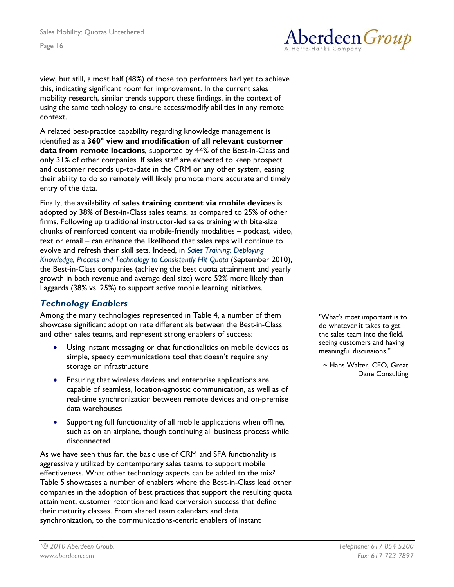Aberdeen Group

view, but still, almost half (48%) of those top performers had yet to achieve this, indicating significant room for improvement. In the current sales mobility research, similar trends support these findings, in the context of using the same technology to ensure access/modify abilities in any remote context.

A related best-practice capability regarding knowledge management is identified as a **360° view and modification of all relevant customer data from remote locations**, supported by 44% of the Best-in-Class and only 31% of other companies. If sales staff are expected to keep prospect and customer records up-to-date in the CRM or any other system, easing their ability to do so remotely will likely promote more accurate and timely entry of the data.

Finally, the availability of **sales training content via mobile devices** is adopted by 38% of Best-in-Class sales teams, as compared to 25% of other firms. Following up traditional instructor-led sales training with bite-size chunks of reinforced content via mobile-friendly modalities – podcast, video, text or email – can enhance the likelihood that sales reps will continue to evolve and refresh their skill sets. Indeed, in *[Sales Training: Deploying](http://www.aberdeen.com/aberdeen-library/6396/RA-sales-training-performance.aspx)  [Knowledge, Process and Technology to Consistently Hit Quota](http://www.aberdeen.com/aberdeen-library/6396/RA-sales-training-performance.aspx)* (September 2010), the Best-in-Class companies (achieving the best quota attainment and yearly growth in both revenue and average deal size) were 52% more likely than Laggards (38% vs. 25%) to support active mobile learning initiatives.

### *Technology Enablers*

Among the many technologies represented in Table 4, a number of them showcase significant adoption rate differentials between the Best-in-Class and other sales teams, and represent strong enablers of success:

- Using instant messaging or chat functionalities on mobile devices as simple, speedy communications tool that doesn't require any storage or infrastructure
- Ensuring that wireless devices and enterprise applications are capable of seamless, location-agnostic communication, as well as of real-time synchronization between remote devices and on-premise data warehouses
- Supporting full functionality of all mobile applications when offline, such as on an airplane, though continuing all business process while disconnected

As we have seen thus far, the basic use of CRM and SFA functionality is aggressively utilized by contemporary sales teams to support mobile effectiveness. What other technology aspects can be added to the mix? Table 5 showcases a number of enablers where the Best-in-Class lead other companies in the adoption of best practices that support the resulting quota attainment, customer retention and lead conversion success that define their maturity classes. From shared team calendars and data synchronization, to the communications-centric enablers of instant

"What's most important is to do whatever it takes to get the sales team into the field, seeing customers and having meaningful discussions."

~ Hans Walter, CEO, Great Dane Consulting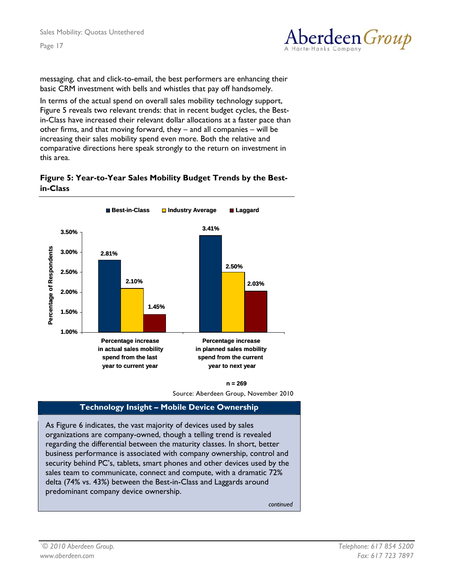

<span id="page-17-0"></span>messaging, chat and click-to-email, the best performers are enhancing their basic CRM investment with bells and whistles that pay off handsomely.

In terms of the actual spend on overall sales mobility technology support, Figure 5 reveals two relevant trends: that in recent budget cycles, the Bestin-Class have increased their relevant dollar allocations at a faster pace than other firms, and that moving forward, they – and all companies – will be increasing their sales mobility spend even more. Both the relative and comparative directions here speak strongly to the return on investment in this area.

#### **Figure 5: Year-to-Year Sales Mobility Budget Trends by the Bestin-Class**



**n = 269**

Source: Aberdeen Group, November 2010

#### **Technology Insight – Mobile Device Ownership**

As Figure 6 indicates, the vast majority of devices used by sales organizations are company-owned, though a telling trend is revealed regarding the differential between the maturity classes. In short, better business performance is associated with company ownership, control and security behind PC's, tablets, smart phones and other devices used by the sales team to communicate, connect and compute, with a dramatic 72% delta (74% vs. 43%) between the Best-in-Class and Laggards around predominant company device ownership.

*continued*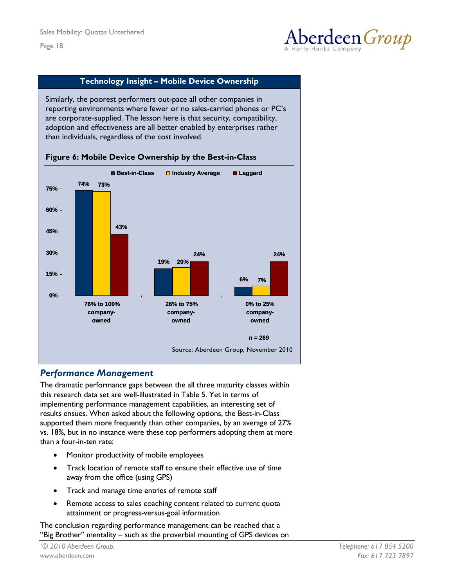

#### **Technology Insight – Mobile Device Ownership**

<span id="page-18-0"></span>Similarly, the poorest performers out-pace all other companies in reporting environments where fewer or no sales-carried phones or PC's are corporate-supplied. The lesson here is that security, compatibility, adoption and effectiveness are all better enabled by enterprises rather than individuals, regardless of the cost involved.



#### **Figure 6: Mobile Device Ownership by the Best-in-Class**

#### *Performance Management*

**g p**

The dramatic performance gaps between the all three maturity classes within this research data set are well-illustrated in Table 5. Yet in terms of implementing performance management capabilities, an interesting set of results ensues. When asked about the following options, the Best-in-Class supported them more frequently than other companies, by an average of 27% vs. 18%, but in no instance were these top performers adopting them at more than a four-in-ten rate:

- Monitor productivity of mobile employees
- Track location of remote staff to ensure their effective use of time away from the office (using GPS)
- Track and manage time entries of remote staff
- Remote access to sales coaching content related to current quota attainment or progress-versus-goal information

The conclusion regarding performance management can be reached that a "Big Brother" mentality – such as the proverbial mounting of GPS devices on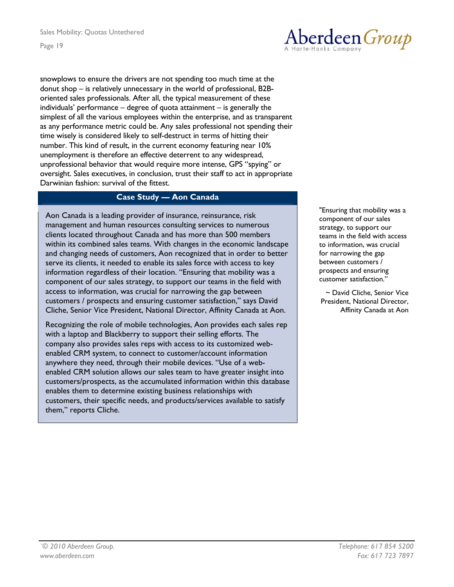Aberdeen *Group* 

snowplows to ensure the drivers are not spending too much time at the donut shop – is relatively unnecessary in the world of professional, B2Boriented sales professionals. After all, the typical measurement of these individuals' performance – degree of quota attainment – is generally the simplest of all the various employees within the enterprise, and as transparent as any performance metric could be. Any sales professional not spending their time wisely is considered likely to self-destruct in terms of hitting their number. This kind of result, in the current economy featuring near 10% unemployment is therefore an effective deterrent to any widespread, unprofessional behavior that would require more intense, GPS "spying" or oversight. Sales executives, in conclusion, trust their staff to act in appropriate Darwinian fashion: survival of the fittest.

#### **Case Study — Aon Canada**

Aon Canada is a leading provider of insurance, reinsurance, risk management and human resources consulting services to numerous clients located throughout Canada and has more than 500 members within its combined sales teams. With changes in the economic landscape and changing needs of customers, Aon recognized that in order to better serve its clients, it needed to enable its sales force with access to key information regardless of their location. "Ensuring that mobility was a component of our sales strategy, to support our teams in the field with access to information, was crucial for narrowing the gap between customers / prospects and ensuring customer satisfaction," says David Cliche, Senior Vice President, National Director, Affinity Canada at Aon.

Recognizing the role of mobile technologies, Aon provides each sales rep with a laptop and Blackberry to support their selling efforts. The company also provides sales reps with access to its customized webenabled CRM system, to connect to customer/account information anywhere they need, through their mobile devices. "Use of a webenabled CRM solution allows our sales team to have greater insight into customers/prospects, as the accumulated information within this database enables them to determine existing business relationships with customers, their specific needs, and products/services available to satisfy them," reports Cliche.

"Ensuring that mobility was a component of our sales strategy, to support our teams in the field with access to information, was crucial for narrowing the gap between customers / prospects and ensuring customer satisfaction."

~ David Cliche, Senior Vice President, National Director, Affinity Canada at Aon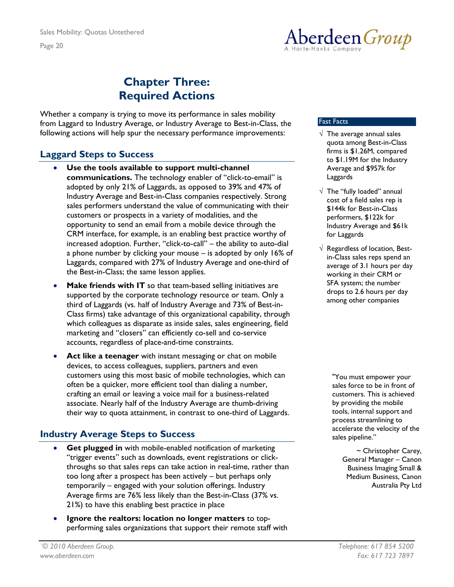<span id="page-20-0"></span>Sales Mobility: Quotas Untethered Page 20

### **Chapter Three: Required Actions**

Whether a company is trying to move its performance in sales mobility from Laggard to Industry Average, or Industry Average to Best-in-Class, the following actions will help spur the necessary performance improvements:

### **Laggard Steps to Success**

- **Use the tools available to support multi-channel communications.** The technology enabler of "click-to-email" is adopted by only 21% of Laggards, as opposed to 39% and 47% of Industry Average and Best-in-Class companies respectively. Strong sales performers understand the value of communicating with their customers or prospects in a variety of modalities, and the opportunity to send an email from a mobile device through the CRM interface, for example, is an enabling best practice worthy of increased adoption. Further, "click-to-call" – the ability to auto-dial a phone number by clicking your mouse – is adopted by only 16% of Laggards, compared with 27% of Industry Average and one-third of the Best-in-Class; the same lesson applies.
- **Make friends with IT** so that team-based selling initiatives are supported by the corporate technology resource or team. Only a third of Laggards (vs. half of Industry Average and 73% of Best-in-Class firms) take advantage of this organizational capability, through which colleagues as disparate as inside sales, sales engineering, field marketing and "closers" can efficiently co-sell and co-service accounts, regardless of place-and-time constraints.
- Act like a teenager with instant messaging or chat on mobile devices, to access colleagues, suppliers, partners and even customers using this most basic of mobile technologies, which can often be a quicker, more efficient tool than dialing a number, crafting an email or leaving a voice mail for a business-related associate. Nearly half of the Industry Average are thumb-driving their way to quota attainment, in contrast to one-third of Laggards.

### **Industry Average Steps to Success**

- **Get plugged in** with mobile-enabled notification of marketing "trigger events" such as downloads, event registrations or clickthroughs so that sales reps can take action in real-time, rather than too long after a prospect has been actively – but perhaps only temporarily – engaged with your solution offerings. Industry Average firms are 76% less likely than the Best-in-Class (37% vs. 21%) to have this enabling best practice in place
- **Ignore the realtors: location no longer matters** to topperforming sales organizations that support their remote staff with

#### Fast Facts

- $\sqrt{\phantom{a}}$  The average annual sales quota among Best-in-Class firms is \$1.26M, compared to \$1.19M for the Industry Average and \$957k for Laggards
- $\sqrt{\phantom{a}}$  The "fully loaded" annual cost of a field sales rep is \$144k for Best-in-Class performers, \$122k for Industry Average and \$61k for Laggards
- $\sqrt{ }$  Regardless of location, Bestin-Class sales reps spend an average of 3.1 hours per day working in their CRM or SFA system; the number drops to 2.6 hours per day among other companies

"You must empower your sales force to be in front of customers. This is achieved by providing the mobile tools, internal support and process streamlining to accelerate the velocity of the sales pipeline."

> ~ Christopher Carey, General Manager – Canon Business Imaging Small & Medium Business, Canon Australia Pty Ltd

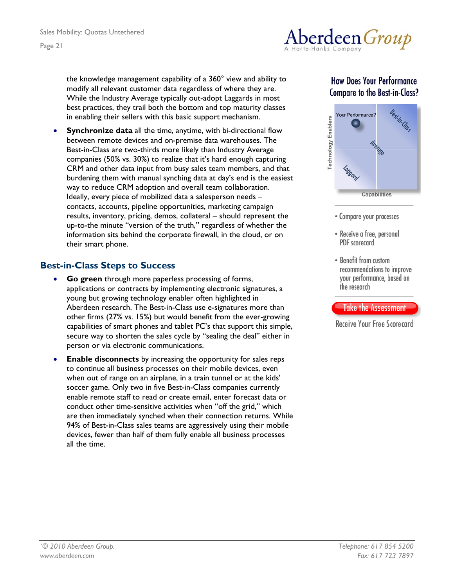

<span id="page-21-0"></span>the knowledge management capability of a 360° view and ability to modify all relevant customer data regardless of where they are. While the Industry Average typically out-adopt Laggards in most best practices, they trail both the bottom and top maturity classes in enabling their sellers with this basic support mechanism.

**Synchronize data** all the time, anytime, with bi-directional flow between remote devices and on-premise data warehouses. The Best-in-Class are two-thirds more likely than Industry Average companies (50% vs. 30%) to realize that it's hard enough capturing CRM and other data input from busy sales team members, and that burdening them with manual synching data at day's end is the easiest way to reduce CRM adoption and overall team collaboration. Ideally, every piece of mobilized data a salesperson needs – contacts, accounts, pipeline opportunities, marketing campaign results, inventory, pricing, demos, collateral – should represent the up-to-the minute "version of the truth," regardless of whether the information sits behind the corporate firewall, in the cloud, or on their smart phone.

### **Best-in-Class Steps to Success**

- Go green through more paperless processing of forms, applications or contracts by implementing electronic signatures, a young but growing technology enabler often highlighted in Aberdeen research. The Best-in-Class use e-signatures more than other firms (27% vs. 15%) but would benefit from the ever-growing capabilities of smart phones and tablet PC's that support this simple, secure way to shorten the sales cycle by "sealing the deal" either in person or via electronic communications.
- **Enable disconnects** by increasing the opportunity for sales reps to continue all business processes on their mobile devices, even when out of range on an airplane, in a train tunnel or at the kids' soccer game. Only two in five Best-in-Class companies currently enable remote staff to read or create email, enter forecast data or conduct other time-sensitive activities when "off the grid," which are then immediately synched when their connection returns. While 94% of Best-in-Class sales teams are aggressively using their mobile devices, fewer than half of them fully enable all business processes all the time.

### **How Does Your Performance Compare to the Best-in-Class?**



- Compare your processes
- Receive a free, personal PDF scorecard
- Benefit from custom recommendations to improve your performance, based on the research

#### **Take the Assessment**

Receive Your Free Scorecard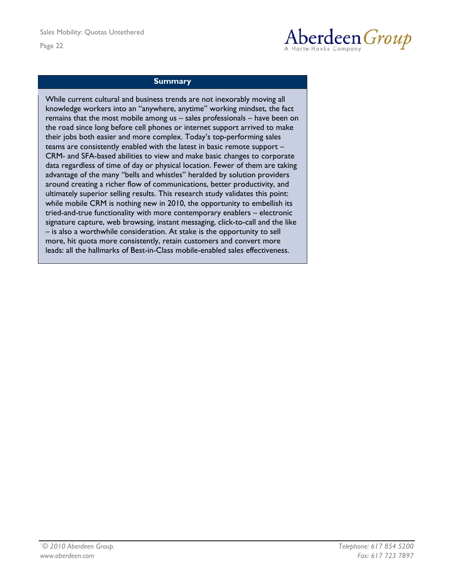

#### **Summary**

While current cultural and business trends are not inexorably moving all knowledge workers into an "anywhere, anytime" working mindset, the fact remains that the most mobile among us – sales professionals – have been on the road since long before cell phones or internet support arrived to make their jobs both easier and more complex. Today's top-performing sales teams are consistently enabled with the latest in basic remote support – CRM- and SFA-based abilities to view and make basic changes to corporate data regardless of time of day or physical location. Fewer of them are taking advantage of the many "bells and whistles" heralded by solution providers around creating a richer flow of communications, better productivity, and ultimately superior selling results. This research study validates this point: while mobile CRM is nothing new in 2010, the opportunity to embellish its tried-and-true functionality with more contemporary enablers – electronic signature capture, web browsing, instant messaging, click-to-call and the like – is also a worthwhile consideration. At stake is the opportunity to sell more, hit quota more consistently, retain customers and convert more leads: all the hallmarks of Best-in-Class mobile-enabled sales effectiveness.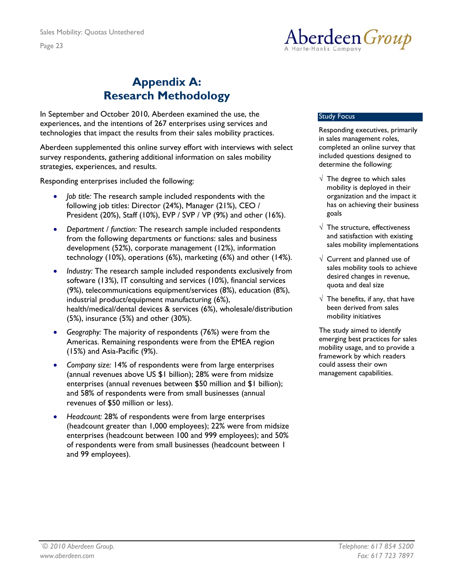

## **Appendix A: Research Methodology**

<span id="page-23-0"></span>In September and October 2010, Aberdeen examined the use, the experiences, and the intentions of 267 enterprises using services and technologies that impact the results from their sales mobility practices.

Aberdeen supplemented this online survey effort with interviews with select survey respondents, gathering additional information on sales mobility strategies, experiences, and results.

Responding enterprises included the following:

- *Job title:* The research sample included respondents with the following job titles: Director (24%), Manager (21%), CEO / President (20%), Staff (10%), EVP / SVP / VP (9%) and other (16%).
- *Department / function:* The research sample included respondents from the following departments or functions: sales and business development (52%), corporate management (12%), information technology (10%), operations (6%), marketing (6%) and other (14%).
- *Industry:* The research sample included respondents exclusively from software (13%), IT consulting and services (10%), financial services (9%), telecommunications equipment/services (8%), education (8%), industrial product/equipment manufacturing (6%), health/medical/dental devices & services (6%), wholesale/distribution (5%), insurance (5%) and other (30%).
- *Geography:* The majority of respondents (76%) were from the Americas. Remaining respondents were from the EMEA region (15%) and Asia-Pacific (9%).
- *Company size:* 14% of respondents were from large enterprises (annual revenues above US \$1 billion); 28% were from midsize enterprises (annual revenues between \$50 million and \$1 billion); and 58% of respondents were from small businesses (annual revenues of \$50 million or less).
- *Headcount:* 28% of respondents were from large enterprises (headcount greater than 1,000 employees); 22% were from midsize enterprises (headcount between 100 and 999 employees); and 50% of respondents were from small businesses (headcount between 1 and 99 employees).

#### Study Focus

Responding executives, primarily in sales management roles, completed an online survey that included questions designed to determine the following:

- $\sqrt{\phantom{a}}$  The degree to which sales mobility is deployed in their organization and the impact it has on achieving their business goals
- $\sqrt{\phantom{a}}$  The structure, effectiveness and satisfaction with existing sales mobility implementations
- $\sqrt{ }$  Current and planned use of sales mobility tools to achieve desired changes in revenue, quota and deal size
- $\sqrt{\phantom{a}}$  The benefits, if any, that have been derived from sales mobility initiatives

The study aimed to identify emerging best practices for sales mobility usage, and to provide a framework by which readers could assess their own management capabilities.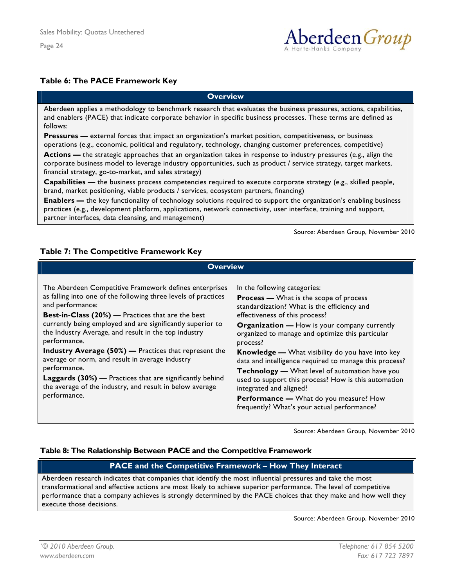

#### <span id="page-24-0"></span>**Table 6: The PACE Framework Key**

#### **Overview**

Aberdeen applies a methodology to benchmark research that evaluates the business pressures, actions, capabilities, and enablers (PACE) that indicate corporate behavior in specific business processes. These terms are defined as follows:

**Pressures** — external forces that impact an organization's market position, competitiveness, or business operations (e.g., economic, political and regulatory, technology, changing customer preferences, competitive)

**Actions —** the strategic approaches that an organization takes in response to industry pressures (e.g., align the corporate business model to leverage industry opportunities, such as product / service strategy, target markets, financial strategy, go-to-market, and sales strategy)

**Capabilities —** the business process competencies required to execute corporate strategy (e.g., skilled people, brand, market positioning, viable products / services, ecosystem partners, financing)

**Enablers —** the key functionality of technology solutions required to support the organization's enabling business practices (e.g., development platform, applications, network connectivity, user interface, training and support, partner interfaces, data cleansing, and management)

Source: Aberdeen Group, November 2010

#### **Table 7: The Competitive Framework Key**

| <b>Overview</b>                                                                                                                                                                                                                                                                                                                                                                                                                                                                                                                                                                                                           |                                                                                                                                                                                                                                                                                                                                                                                                                                                                                                                                                                                                                                                 |  |  |
|---------------------------------------------------------------------------------------------------------------------------------------------------------------------------------------------------------------------------------------------------------------------------------------------------------------------------------------------------------------------------------------------------------------------------------------------------------------------------------------------------------------------------------------------------------------------------------------------------------------------------|-------------------------------------------------------------------------------------------------------------------------------------------------------------------------------------------------------------------------------------------------------------------------------------------------------------------------------------------------------------------------------------------------------------------------------------------------------------------------------------------------------------------------------------------------------------------------------------------------------------------------------------------------|--|--|
| The Aberdeen Competitive Framework defines enterprises<br>as falling into one of the following three levels of practices<br>and performance:<br>Best-in-Class (20%) - Practices that are the best<br>currently being employed and are significantly superior to<br>the Industry Average, and result in the top industry<br>performance.<br><b>Industry Average (50%)</b> — Practices that represent the<br>average or norm, and result in average industry<br>performance.<br><b>Laggards (30%)</b> — Practices that are significantly behind<br>the average of the industry, and result in below average<br>performance. | In the following categories:<br><b>Process —</b> What is the scope of process<br>standardization? What is the efficiency and<br>effectiveness of this process?<br><b>Organization — How is your company currently</b><br>organized to manage and optimize this particular<br>process?<br><b>Knowledge -</b> What visibility do you have into key<br>data and intelligence required to manage this process?<br>Technology - What level of automation have you<br>used to support this process? How is this automation<br>integrated and aligned?<br><b>Performance —</b> What do you measure? How<br>frequently? What's your actual performance? |  |  |

Source: Aberdeen Group, November 2010

#### **Table 8: The Relationship Between PACE and the Competitive Framework**

#### **PACE and the Competitive Framework – How They Interact**

Aberdeen research indicates that companies that identify the most influential pressures and take the most transformational and effective actions are most likely to achieve superior performance. The level of competitive performance that a company achieves is strongly determined by the PACE choices that they make and how well they execute those decisions.

Source: Aberdeen Group, November 2010